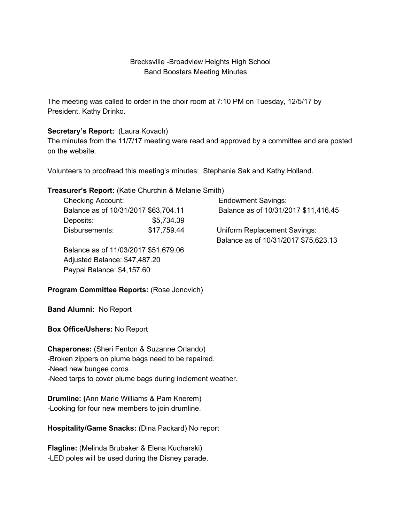# Brecksville -Broadview Heights High School Band Boosters Meeting Minutes

The meeting was called to order in the choir room at 7:10 PM on Tuesday, 12/5/17 by President, Kathy Drinko.

#### **Secretary's Report:** (Laura Kovach)

The minutes from the 11/7/17 meeting were read and approved by a committee and are posted on the website.

Volunteers to proofread this meeting's minutes: Stephanie Sak and Kathy Holland.

#### **Treasurer's Report:** (Katie Churchin & Melanie Smith)

| <b>Checking Account:</b>             |             | <b>Endowment Savings:</b>            |
|--------------------------------------|-------------|--------------------------------------|
| Balance as of 10/31/2017 \$63,704.11 |             | Balance as of 10/31/2017 \$11,416.45 |
| Deposits:                            | \$5,734.39  |                                      |
| Disbursements:                       | \$17,759.44 | <b>Uniform Replacement Savings:</b>  |
|                                      |             | Balance as of 10/31/2017 \$75,623.13 |

Balance as of 11/03/2017 \$51,679.06 Adjusted Balance: \$47,487.20 Paypal Balance: \$4,157.60

# **Program Committee Reports:** (Rose Jonovich)

**Band Alumni:** No Report

**Box Office/Ushers:** No Report

**Chaperones:** (Sheri Fenton & Suzanne Orlando) -Broken zippers on plume bags need to be repaired. -Need new bungee cords. -Need tarps to cover plume bags during inclement weather.

**Drumline: (**Ann Marie Williams & Pam Knerem) -Looking for four new members to join drumline.

**Hospitality/Game Snacks:** (Dina Packard) No report

**Flagline:** (Melinda Brubaker & Elena Kucharski) -LED poles will be used during the Disney parade.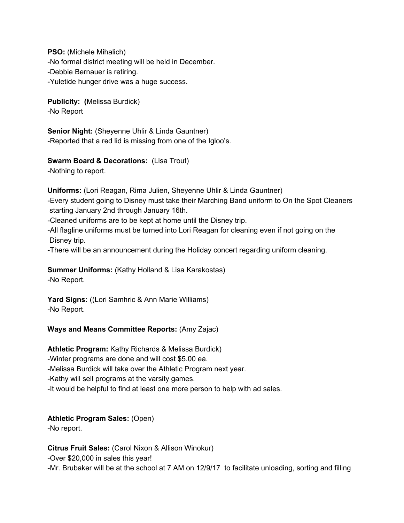**PSO:** (Michele Mihalich) -No formal district meeting will be held in December. -Debbie Bernauer is retiring. -Yuletide hunger drive was a huge success.

**Publicity: (**Melissa Burdick) -No Report

**Senior Night:** (Sheyenne Uhlir & Linda Gauntner) -Reported that a red lid is missing from one of the Igloo's.

**Swarm Board & Decorations:** (Lisa Trout)

-Nothing to report.

**Uniforms:** (Lori Reagan, Rima Julien, Sheyenne Uhlir & Linda Gauntner)

-Every student going to Disney must take their Marching Band uniform to On the Spot Cleaners starting January 2nd through January 16th.

-Cleaned uniforms are to be kept at home until the Disney trip.

-All flagline uniforms must be turned into Lori Reagan for cleaning even if not going on the Disney trip.

-There will be an announcement during the Holiday concert regarding uniform cleaning.

**Summer Uniforms:** (Kathy Holland & Lisa Karakostas) -No Report.

**Yard Signs:** ((Lori Samhric & Ann Marie Williams) -No Report.

# **Ways and Means Committee Reports:** (Amy Zajac)

**Athletic Program:** Kathy Richards & Melissa Burdick)

-Winter programs are done and will cost \$5.00 ea.

-Melissa Burdick will take over the Athletic Program next year.

-Kathy will sell programs at the varsity games.

-It would be helpful to find at least one more person to help with ad sales.

# **Athletic Program Sales:** (Open)

-No report.

**Citrus Fruit Sales:** (Carol Nixon & Allison Winokur)

-Over \$20,000 in sales this year!

-Mr. Brubaker will be at the school at 7 AM on 12/9/17 to facilitate unloading, sorting and filling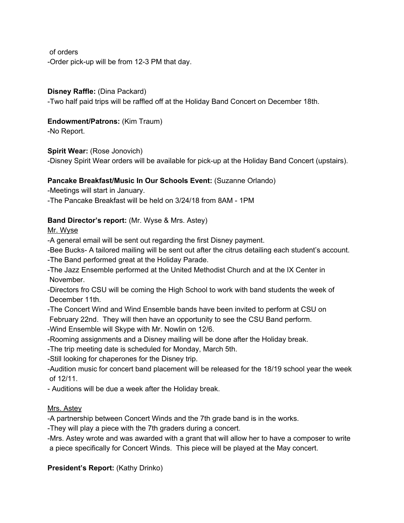of orders -Order pick-up will be from 12-3 PM that day.

## **Disney Raffle:** (Dina Packard)

-Two half paid trips will be raffled off at the Holiday Band Concert on December 18th.

## **Endowment/Patrons:** (Kim Traum)

-No Report.

## **Spirit Wear:** (Rose Jonovich)

-Disney Spirit Wear orders will be available for pick-up at the Holiday Band Concert (upstairs).

## **Pancake Breakfast/Music In Our Schools Event:** (Suzanne Orlando)

-Meetings will start in January.

-The Pancake Breakfast will be held on 3/24/18 from 8AM - 1PM

## **Band Director's report:** (Mr. Wyse & Mrs. Astey)

Mr. Wyse

-A general email will be sent out regarding the first Disney payment.

-Bee Bucks- A tailored mailing will be sent out after the citrus detailing each student's account.

-The Band performed great at the Holiday Parade.

-The Jazz Ensemble performed at the United Methodist Church and at the IX Center in November.

-Directors fro CSU will be coming the High School to work with band students the week of December 11th.

-The Concert Wind and Wind Ensemble bands have been invited to perform at CSU on February 22nd. They will then have an opportunity to see the CSU Band perform.

-Wind Ensemble will Skype with Mr. Nowlin on 12/6.

-Rooming assignments and a Disney mailing will be done after the Holiday break.

-The trip meeting date is scheduled for Monday, March 5th.

-Still looking for chaperones for the Disney trip.

-Audition music for concert band placement will be released for the 18/19 school year the week of 12/11.

- Auditions will be due a week after the Holiday break.

#### Mrs. Astey

-A partnership between Concert Winds and the 7th grade band is in the works.

-They will play a piece with the 7th graders during a concert.

-Mrs. Astey wrote and was awarded with a grant that will allow her to have a composer to write a piece specifically for Concert Winds. This piece will be played at the May concert.

# **President's Report:** (Kathy Drinko)